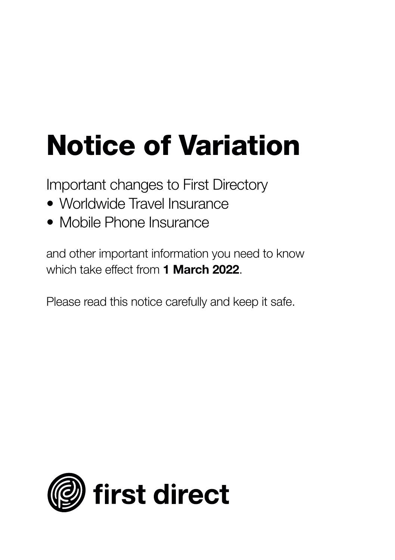# **Notice of Variation**

Important changes to First Directory

- Worldwide Travel Insurance
- Mobile Phone Insurance

and other important information you need to know which take effect from **1 March 2022**.

Please read this notice carefully and keep it safe.

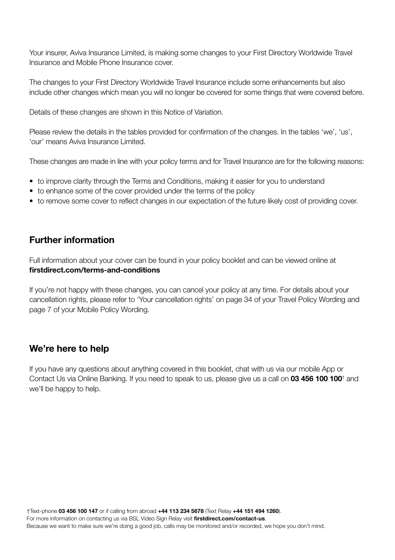Your insurer, Aviva Insurance Limited, is making some changes to your First Directory Worldwide Travel Insurance and Mobile Phone Insurance cover.

The changes to your First Directory Worldwide Travel Insurance include some enhancements but also include other changes which mean you will no longer be covered for some things that were covered before.

Details of these changes are shown in this Notice of Variation.

Please review the details in the tables provided for confirmation of the changes. In the tables 'we', 'us', 'our' means Aviva Insurance Limited.

These changes are made in line with your policy terms and for Travel Insurance are for the following reasons:

- to improve clarity through the Terms and Conditions, making it easier for you to understand
- to enhance some of the cover provided under the terms of the policy
- to remove some cover to reflect changes in our expectation of the future likely cost of providing cover.

#### **Further information**

Full information about your cover can be found in your policy booklet and can be viewed online at **firstdirect.com/terms-and-conditions**

If you're not happy with these changes, you can cancel your policy at any time. For details about your cancellation rights, please refer to 'Your cancellation rights' on page 34 of your Travel Policy Wording and page 7 of your Mobile Policy Wording.

#### **We're here to help**

If you have any questions about anything covered in this booklet, chat with us via our mobile App or Contact Us via Online Banking. If you need to speak to us, please give us a call on **03 456 100 100**† and we'll be happy to help.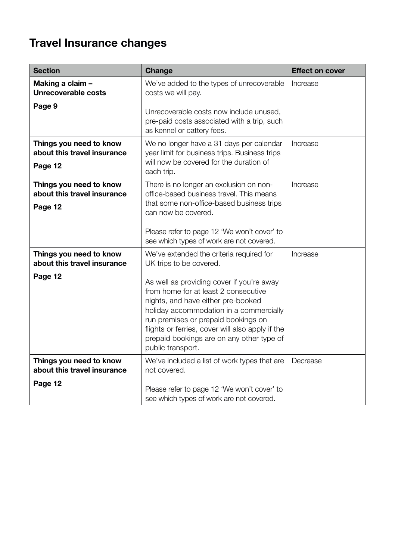## **Travel Insurance changes**

| <b>Section</b>                                                    | Change                                                                                                                                                                                                                                                                                                                                                                                                 | <b>Effect on cover</b> |
|-------------------------------------------------------------------|--------------------------------------------------------------------------------------------------------------------------------------------------------------------------------------------------------------------------------------------------------------------------------------------------------------------------------------------------------------------------------------------------------|------------------------|
| Making a claim -<br>Unrecoverable costs                           | We've added to the types of unrecoverable<br>costs we will pay.                                                                                                                                                                                                                                                                                                                                        | Increase               |
| Page 9                                                            | Unrecoverable costs now include unused,<br>pre-paid costs associated with a trip, such<br>as kennel or cattery fees.                                                                                                                                                                                                                                                                                   |                        |
| Things you need to know<br>about this travel insurance<br>Page 12 | We no longer have a 31 days per calendar<br>year limit for business trips. Business trips<br>will now be covered for the duration of<br>each trip.                                                                                                                                                                                                                                                     | Increase               |
| Things you need to know<br>about this travel insurance<br>Page 12 | There is no longer an exclusion on non-<br>office-based business travel. This means<br>that some non-office-based business trips<br>can now be covered.<br>Please refer to page 12 'We won't cover' to<br>see which types of work are not covered.                                                                                                                                                     | Increase               |
| Things you need to know<br>about this travel insurance<br>Page 12 | We've extended the criteria required for<br>UK trips to be covered.<br>As well as providing cover if you're away<br>from home for at least 2 consecutive<br>nights, and have either pre-booked<br>holiday accommodation in a commercially<br>run premises or prepaid bookings on<br>flights or ferries, cover will also apply if the<br>prepaid bookings are on any other type of<br>public transport. | Increase               |
| Things you need to know<br>about this travel insurance<br>Page 12 | We've included a list of work types that are<br>not covered.<br>Please refer to page 12 'We won't cover' to<br>see which types of work are not covered.                                                                                                                                                                                                                                                | Decrease               |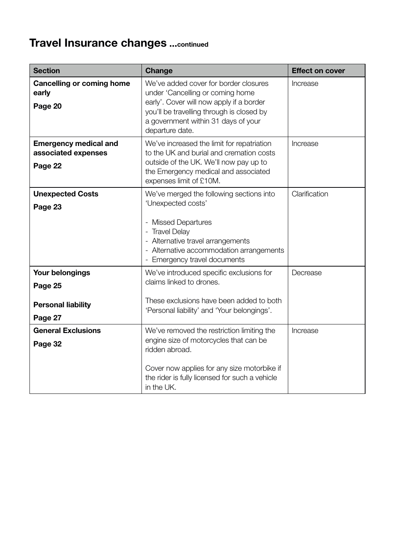## **Travel Insurance changes ...continued**

| <b>Section</b>                                                     | Change                                                                                                                                                                                                                       | <b>Effect on cover</b> |
|--------------------------------------------------------------------|------------------------------------------------------------------------------------------------------------------------------------------------------------------------------------------------------------------------------|------------------------|
| Cancelling or coming home<br>early<br>Page 20                      | We've added cover for border closures<br>under 'Cancelling or coming home<br>early'. Cover will now apply if a border<br>you'll be travelling through is closed by<br>a government within 31 days of your<br>departure date. | Increase               |
| <b>Emergency medical and</b><br>associated expenses<br>Page 22     | We've increased the limit for repatriation<br>to the UK and burial and cremation costs<br>outside of the UK. We'll now pay up to<br>the Emergency medical and associated<br>expenses limit of £10M.                          | Increase               |
| <b>Unexpected Costs</b><br>Page 23                                 | We've merged the following sections into<br>'Unexpected costs'<br>- Missed Departures<br>- Travel Delay<br>- Alternative travel arrangements<br>- Alternative accommodation arrangements<br>- Emergency travel documents     | Clarification          |
| Your belongings<br>Page 25<br><b>Personal liability</b><br>Page 27 | We've introduced specific exclusions for<br>claims linked to drones.<br>These exclusions have been added to both<br>'Personal liability' and 'Your belongings'.                                                              | Decrease               |
| <b>General Exclusions</b><br>Page 32                               | We've removed the restriction limiting the<br>engine size of motorcycles that can be<br>ridden abroad.<br>Cover now applies for any size motorbike if<br>the rider is fully licensed for such a vehicle<br>in the UK.        | Increase               |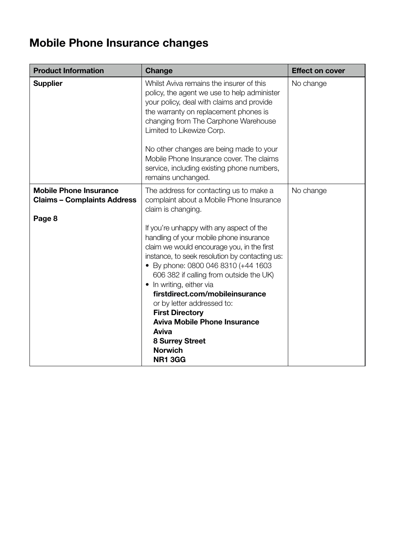## **Mobile Phone Insurance changes**

| <b>Product Information</b>                                                    | Change                                                                                                                                                                                                                                                                                                                                                                                                                                                                                                                                                                                                                   | <b>Effect on cover</b> |
|-------------------------------------------------------------------------------|--------------------------------------------------------------------------------------------------------------------------------------------------------------------------------------------------------------------------------------------------------------------------------------------------------------------------------------------------------------------------------------------------------------------------------------------------------------------------------------------------------------------------------------------------------------------------------------------------------------------------|------------------------|
| <b>Supplier</b>                                                               | Whilst Aviva remains the insurer of this<br>policy, the agent we use to help administer<br>your policy, deal with claims and provide<br>the warranty on replacement phones is<br>changing from The Carphone Warehouse<br>Limited to Likewize Corp.<br>No other changes are being made to your<br>Mobile Phone Insurance cover. The claims<br>service, including existing phone numbers,<br>remains unchanged.                                                                                                                                                                                                            | No change              |
| <b>Mobile Phone Insurance</b><br><b>Claims - Complaints Address</b><br>Page 8 | The address for contacting us to make a<br>complaint about a Mobile Phone Insurance<br>claim is changing.<br>If you're unhappy with any aspect of the<br>handling of your mobile phone insurance<br>claim we would encourage you, in the first<br>instance, to seek resolution by contacting us:<br>• By phone: 0800 046 8310 (+44 1603)<br>606 382 if calling from outside the UK)<br>• In writing, either via<br>firstdirect.com/mobileinsurance<br>or by letter addressed to:<br><b>First Directory</b><br><b>Aviva Mobile Phone Insurance</b><br>Aviva<br><b>8 Surrey Street</b><br><b>Norwich</b><br><b>NR1 3GG</b> | No change              |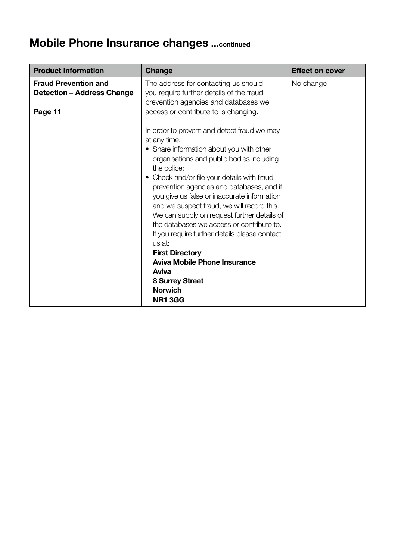## **Mobile Phone Insurance changes ...continued**

| <b>Product Information</b>                                       | Change                                                                                                                                                                                                                                                                                                                                                                                                                                                                                                                                                                                                                                                                                | <b>Effect on cover</b> |
|------------------------------------------------------------------|---------------------------------------------------------------------------------------------------------------------------------------------------------------------------------------------------------------------------------------------------------------------------------------------------------------------------------------------------------------------------------------------------------------------------------------------------------------------------------------------------------------------------------------------------------------------------------------------------------------------------------------------------------------------------------------|------------------------|
| <b>Fraud Prevention and</b><br><b>Detection - Address Change</b> | The address for contacting us should<br>you require further details of the fraud<br>prevention agencies and databases we                                                                                                                                                                                                                                                                                                                                                                                                                                                                                                                                                              | No change              |
| Page 11                                                          | access or contribute to is changing.<br>In order to prevent and detect fraud we may<br>at any time:<br>• Share information about you with other<br>organisations and public bodies including<br>the police;<br>• Check and/or file your details with fraud<br>prevention agencies and databases, and if<br>you give us false or inaccurate information<br>and we suspect fraud, we will record this.<br>We can supply on request further details of<br>the databases we access or contribute to.<br>If you require further details please contact<br>us at:<br><b>First Directory</b><br>Aviva Mobile Phone Insurance<br>Aviva<br>8 Surrey Street<br><b>Norwich</b><br><b>NR1 3GG</b> |                        |